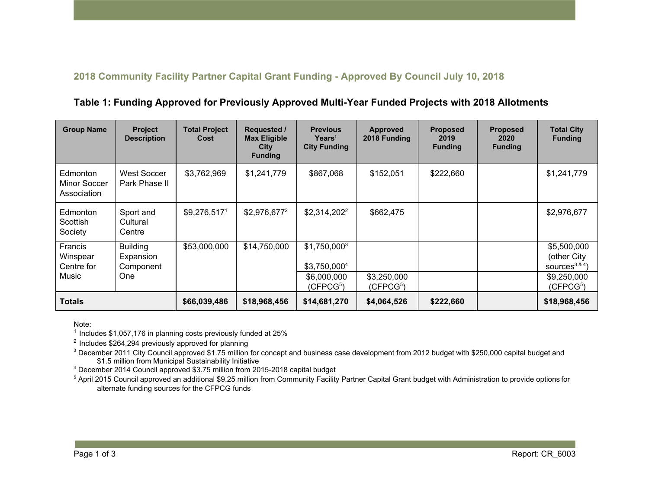## **2018 Community Facility Partner Capital Grant Funding - Approved By Council July 10, 2018**

**Table 1: Funding Approved for Previously Approved Multi-Year Funded Projects with 2018 Allotments**

| <b>Group Name</b>                          | <b>Project</b><br><b>Description</b>                    | <b>Total Project</b><br>Cost | <b>Requested /</b><br><b>Max Eligible</b><br>City<br><b>Funding</b> | <b>Previous</b><br>Years'<br><b>City Funding</b>                       | <b>Approved</b><br>2018 Funding | <b>Proposed</b><br>2019<br><b>Funding</b> | <b>Proposed</b><br>2020<br><b>Funding</b> | <b>Total City</b><br><b>Funding</b>                                                   |
|--------------------------------------------|---------------------------------------------------------|------------------------------|---------------------------------------------------------------------|------------------------------------------------------------------------|---------------------------------|-------------------------------------------|-------------------------------------------|---------------------------------------------------------------------------------------|
| Edmonton<br>Minor Soccer<br>Association    | <b>West Soccer</b><br>Park Phase II                     | \$3,762,969                  | \$1,241,779                                                         | \$867,068                                                              | \$152,051                       | \$222,660                                 |                                           | \$1,241,779                                                                           |
| Edmonton<br>Scottish<br>Society            | Sport and<br>Cultural<br>Centre                         | \$9,276,517 <sup>1</sup>     | \$2,976,677 <sup>2</sup>                                            | $$2,314,202^2$                                                         | \$662,475                       |                                           |                                           | \$2,976,677                                                                           |
| Francis<br>Winspear<br>Centre for<br>Music | <b>Building</b><br>Expansion<br>Component<br><b>One</b> | \$53,000,000                 | \$14,750,000                                                        | $$1,750,000^3$<br>\$3,750,0004<br>\$6,000,000<br>(CFPCG <sup>5</sup> ) | \$3,250,000<br>(CFPCG5)         |                                           |                                           | \$5,500,000<br>(other City<br>sources <sup>3&amp;4</sup> )<br>\$9,250,000<br>(CFPCG5) |
| <b>Totals</b>                              |                                                         | \$66,039,486                 | \$18,968,456                                                        | \$14,681,270                                                           | \$4,064,526                     | \$222,660                                 |                                           | \$18,968,456                                                                          |

Note:

 $1$  Includes \$1,057,176 in planning costs previously funded at 25%

<sup>2</sup> Includes \$264,294 previously approved for planning

 $3$  December 2011 City Council approved \$1.75 million for concept and business case development from 2012 budget with \$250,000 capital budget and \$1.5 million from Municipal Sustainability Initiative

4 December 2014 Council approved \$3.75 million from 2015-2018 capital budget

<sup>5</sup> April 2015 Council approved an additional \$9.25 million from Community Facility Partner Capital Grant budget with Administration to provide options for alternate funding sources for the CFPCG funds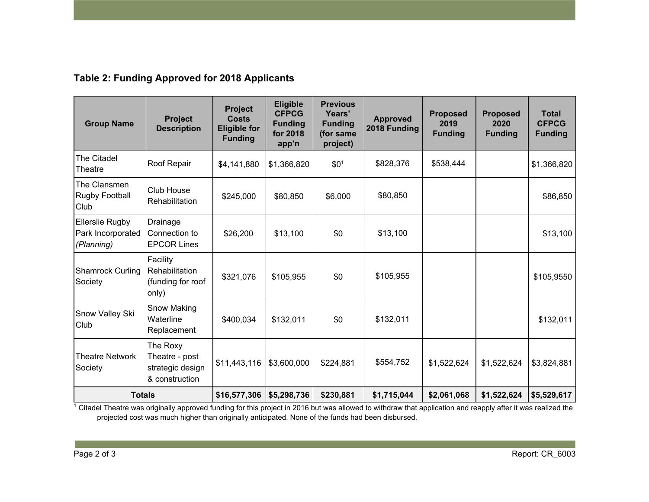## **Table 2: Funding Approved for 2018 Applicants**

| <b>Group Name</b>                                         | Project<br><b>Description</b>                                    | <b>Project</b><br><b>Costs</b><br><b>Eligible for</b><br><b>Funding</b> | <b>Eligible</b><br><b>CFPCG</b><br><b>Funding</b><br>for 2018<br>app'n | <b>Previous</b><br>Years'<br><b>Funding</b><br>(for same<br>project) | <b>Approved</b><br>2018 Funding | <b>Proposed</b><br>2019<br><b>Funding</b> | <b>Proposed</b><br>2020<br><b>Funding</b> | <b>Total</b><br><b>CFPCG</b><br><b>Funding</b> |
|-----------------------------------------------------------|------------------------------------------------------------------|-------------------------------------------------------------------------|------------------------------------------------------------------------|----------------------------------------------------------------------|---------------------------------|-------------------------------------------|-------------------------------------------|------------------------------------------------|
| The Citadel<br>Theatre                                    | Roof Repair                                                      | \$4,141,880                                                             | \$1,366,820                                                            | \$0 <sup>1</sup>                                                     | \$828,376                       | \$538,444                                 |                                           | \$1,366,820                                    |
| The Clansmen<br>Rugby Football<br>Club                    | Club House<br>Rehabilitation                                     | \$245,000                                                               | \$80,850                                                               | \$6,000                                                              | \$80,850                        |                                           |                                           | \$86,850                                       |
| <b>Ellerslie Rugby</b><br>Park Incorporated<br>(Planning) | Drainage<br>Connection to<br><b>EPCOR Lines</b>                  | \$26,200                                                                | \$13,100                                                               | \$0                                                                  | \$13,100                        |                                           |                                           | \$13,100                                       |
| <b>Shamrock Curling</b><br>Society                        | Facility<br>Rehabilitation<br>(funding for roof<br>only)         | \$321,076                                                               | \$105,955                                                              | \$0                                                                  | \$105,955                       |                                           |                                           | \$105,9550                                     |
| Snow Valley Ski<br>Club                                   | Snow Making<br>Waterline<br>Replacement                          | \$400,034                                                               | \$132,011                                                              | \$0                                                                  | \$132,011                       |                                           |                                           | \$132,011                                      |
| <b>Theatre Network</b><br>Society                         | The Roxy<br>Theatre - post<br>strategic design<br>& construction | \$11,443,116                                                            | \$3,600,000                                                            | \$224,881                                                            | \$554,752                       | \$1,522,624                               | \$1,522,624                               | \$3,824,881                                    |
| <b>Totals</b>                                             |                                                                  | \$16,577,306                                                            | \$5,298,736                                                            | \$230,881                                                            | \$1,715,044                     | \$2,061,068                               | \$1,522,624                               | \$5,529,617                                    |

 $1$  Citadel Theatre was originally approved funding for this project in 2016 but was allowed to withdraw that application and reapply after it was realized the projected cost was much higher than originally anticipated. None of the funds had been disbursed.